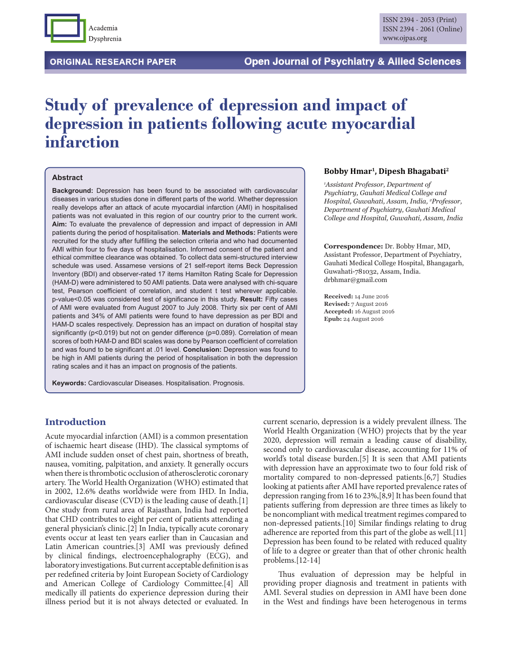

**ORIGINAL RESEARCH PAPER** 

# **Study of prevalence of depression and impact of depression in patients following acute myocardial infarction**

#### **Abstract**

**Background:** Depression has been found to be associated with cardiovascular diseases in various studies done in different parts of the world. Whether depression really develops after an attack of acute myocardial infarction (AMI) in hospitalised patients was not evaluated in this region of our country prior to the current work. **Aim:** To evaluate the prevalence of depression and impact of depression in AMI patients during the period of hospitalisation. **Materials and Methods:** Patients were recruited for the study after fulfilling the selection criteria and who had documented AMI within four to five days of hospitalisation. Informed consent of the patient and ethical committee clearance was obtained. To collect data semi-structured interview schedule was used. Assamese versions of 21 self-report items Beck Depression Inventory (BDI) and observer-rated 17 items Hamilton Rating Scale for Depression (HAM-D) were administered to 50 AMI patients. Data were analysed with chi-square test, Pearson coefficient of correlation, and student t test wherever applicable. p-value<0.05 was considered test of significance in this study. Result: Fifty cases of AMI were evaluated from August 2007 to July 2008. Thirty six per cent of AMI patients and 34% of AMI patients were found to have depression as per BDI and HAM-D scales respectively. Depression has an impact on duration of hospital stay significantly ( $p$ <0.019) but not on gender difference ( $p$ =0.089). Correlation of mean scores of both HAM-D and BDI scales was done by Pearson coefficient of correlation and was found to be significant at .01 level. **Conclusion:** Depression was found to be high in AMI patients during the period of hospitalisation in both the depression rating scales and it has an impact on prognosis of the patients.

**Keywords:** Cardiovascular Diseases. Hospitalisation. Prognosis.

#### **Bobby Hmar1, Dipesh Bhagabati2**

*1 Assistant Professor, Department of Psychiatry, Gauhati Medical College and Hospital, Guwahati, Assam, India, 2 Professor, Department of Psychiatry, Gauhati Medical College and Hospital, Guwahati, Assam, India*

**Correspondence:** Dr. Bobby Hmar, MD, Assistant Professor, Department of Psychiatry, Gauhati Medical College Hospital, Bhangagarh, Guwahati-781032, Assam, India. drbhmar@gmail.com

**Received:** 14 June 2016 **Revised:** 7 August 2016 **Accepted:** 16 August 2016 **Epub:** 24 August 2016

# **Introduction**

Acute myocardial infarction (AMI) is a common presentation of ischaemic heart disease (IHD). The classical symptoms of AMI include sudden onset of chest pain, shortness of breath, nausea, vomiting, palpitation, and anxiety. It generally occurs when there is thrombotic occlusion of atherosclerotic coronary artery. The World Health Organization (WHO) estimated that in 2002, 12.6% deaths worldwide were from IHD. In India, cardiovascular disease (CVD) is the leading cause of death.[1] One study from rural area of Rajasthan, India had reported that CHD contributes to eight per cent of patients attending a general physician's clinic.[2] In India, typically acute coronary events occur at least ten years earlier than in Caucasian and Latin American countries.[3] AMI was previously defined by clinical findings, electroencephalography (ECG), and laboratory investigations. But current acceptable definition is as per redefined criteria by Joint European Society of Cardiology and American College of Cardiology Committee.[4] All medically ill patients do experience depression during their illness period but it is not always detected or evaluated. In

current scenario, depression is a widely prevalent illness. The World Health Organization (WHO) projects that by the year 2020, depression will remain a leading cause of disability, second only to cardiovascular disease, accounting for 11% of world's total disease burden.[5] It is seen that AMI patients with depression have an approximate two to four fold risk of mortality compared to non-depressed patients.[6,7] Studies looking at patients after AMI have reported prevalence rates of depression ranging from 16 to 23%,[8,9] It has been found that patients suffering from depression are three times as likely to be noncompliant with medical treatment regimes compared to non-depressed patients.[10] Similar findings relating to drug adherence are reported from this part of the globe as well.[11] Depression has been found to be related with reduced quality of life to a degree or greater than that of other chronic health problems.[12-14]

Thus evaluation of depression may be helpful in providing proper diagnosis and treatment in patients with AMI. Several studies on depression in AMI have been done in the West and findings have been heterogenous in terms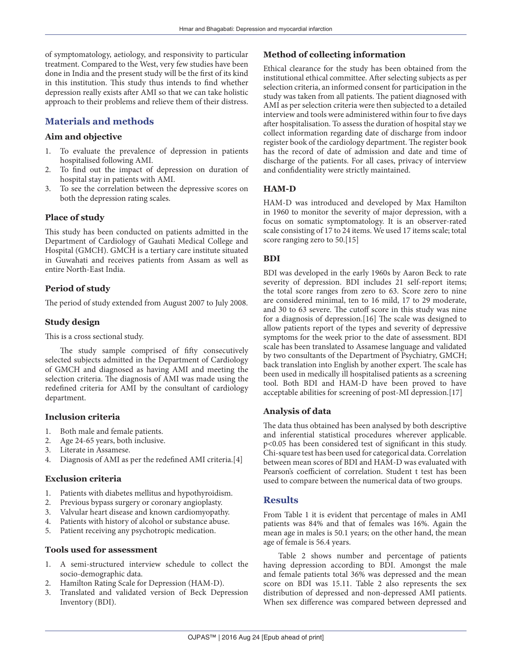of symptomatology, aetiology, and responsivity to particular treatment. Compared to the West, very few studies have been done in India and the present study will be the first of its kind in this institution. This study thus intends to find whether depression really exists after AMI so that we can take holistic approach to their problems and relieve them of their distress.

# **Materials and methods**

## **Aim and objective**

- 1. To evaluate the prevalence of depression in patients hospitalised following AMI.
- 2. To find out the impact of depression on duration of hospital stay in patients with AMI.
- 3. To see the correlation between the depressive scores on both the depression rating scales.

#### **Place of study**

This study has been conducted on patients admitted in the Department of Cardiology of Gauhati Medical College and Hospital (GMCH). GMCH is a tertiary care institute situated in Guwahati and receives patients from Assam as well as entire North-East India.

#### **Period of study**

The period of study extended from August 2007 to July 2008.

#### **Study design**

This is a cross sectional study.

The study sample comprised of fifty consecutively selected subjects admitted in the Department of Cardiology of GMCH and diagnosed as having AMI and meeting the selection criteria. The diagnosis of AMI was made using the redefined criteria for AMI by the consultant of cardiology department.

#### **Inclusion criteria**

- 1. Both male and female patients.
- 2. Age 24-65 years, both inclusive.
- 3. Literate in Assamese.
- 4. Diagnosis of AMI as per the redefined AMI criteria.[4]

#### **Exclusion criteria**

- 1. Patients with diabetes mellitus and hypothyroidism.
- 2. Previous bypass surgery or coronary angioplasty.
- 3. Valvular heart disease and known cardiomyopathy.
- 4. Patients with history of alcohol or substance abuse.
- 5. Patient receiving any psychotropic medication.

#### **Tools used for assessment**

- 1. A semi-structured interview schedule to collect the socio-demographic data.
- 2. Hamilton Rating Scale for Depression (HAM-D).
- 3. Translated and validated version of Beck Depression Inventory (BDI).

# **Method of collecting information**

Ethical clearance for the study has been obtained from the institutional ethical committee. After selecting subjects as per selection criteria, an informed consent for participation in the study was taken from all patients. The patient diagnosed with AMI as per selection criteria were then subjected to a detailed interview and tools were administered within four to five days after hospitalisation. To assess the duration of hospital stay we collect information regarding date of discharge from indoor register book of the cardiology department. The register book has the record of date of admission and date and time of discharge of the patients. For all cases, privacy of interview and confidentiality were strictly maintained.

## **HAM-D**

HAM-D was introduced and developed by Max Hamilton in 1960 to monitor the severity of major depression, with a focus on somatic symptomatology. It is an observer-rated scale consisting of 17 to 24 items. We used 17 items scale; total score ranging zero to 50.<sup>[15]</sup>

#### **BDI**

BDI was developed in the early 1960s by Aaron Beck to rate severity of depression. BDI includes 21 self-report items; the total score ranges from zero to 63. Score zero to nine are considered minimal, ten to 16 mild, 17 to 29 moderate, and 30 to 63 severe. The cutoff score in this study was nine for a diagnosis of depression. $[16]$  The scale was designed to allow patients report of the types and severity of depressive symptoms for the week prior to the date of assessment. BDI scale has been translated to Assamese language and validated by two consultants of the Department of Psychiatry, GMCH; back translation into English by another expert. The scale has been used in medically ill hospitalised patients as a screening tool. Both BDI and HAM-D have been proved to have acceptable abilities for screening of post-MI depression.[17]

#### **Analysis of data**

The data thus obtained has been analysed by both descriptive and inferential statistical procedures wherever applicable. p<0.05 has been considered test of significant in this study. Chi-square test has been used for categorical data. Correlation between mean scores of BDI and HAM-D was evaluated with Pearson's coefficient of correlation. Student t test has been used to compare between the numerical data of two groups.

#### **Results**

From Table 1 it is evident that percentage of males in AMI patients was 84% and that of females was 16%. Again the mean age in males is 50.1 years; on the other hand, the mean age of female is 56.4 years.

Table 2 shows number and percentage of patients having depression according to BDI. Amongst the male and female patients total 36% was depressed and the mean score on BDI was 15.11. Table 2 also represents the sex distribution of depressed and non-depressed AMI patients. When sex difference was compared between depressed and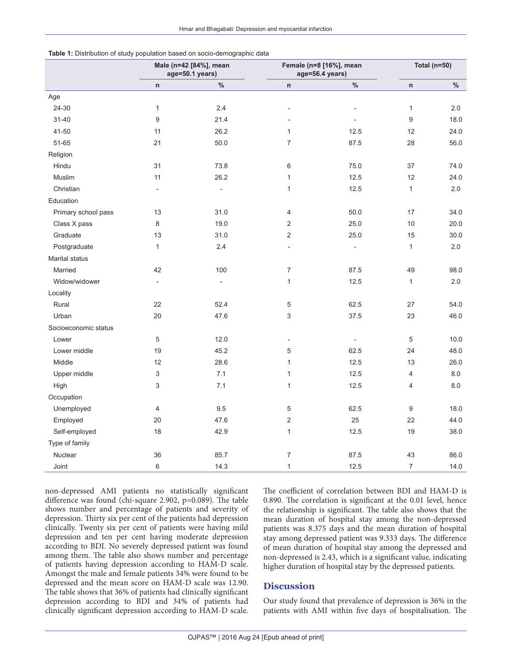| .                    | <b>If Distribution</b> of staaj population saboa on osolo aomographic adita<br>Male (n=42 [84%], mean<br>age=50.1 years) |                          | Female (n=8 [16%], mean<br>age=56.4 years) |                              | <b>Total (n=50)</b> |      |
|----------------------|--------------------------------------------------------------------------------------------------------------------------|--------------------------|--------------------------------------------|------------------------------|---------------------|------|
|                      | $\mathsf n$                                                                                                              | $\%$                     | $\mathsf n$                                | $\%$                         | n                   | $\%$ |
| Age                  |                                                                                                                          |                          |                                            |                              |                     |      |
| 24-30                | $\mathbf{1}$                                                                                                             | 2.4                      | $\overline{\phantom{a}}$                   | $\overline{a}$               | $\mathbf{1}$        | 2.0  |
| $31 - 40$            | 9                                                                                                                        | 21.4                     |                                            | ÷,                           | 9                   | 18.0 |
| $41 - 50$            | 11                                                                                                                       | 26.2                     | $\mathbf{1}$                               | 12.5                         | 12                  | 24.0 |
| 51-65                | 21                                                                                                                       | 50.0                     | $\overline{7}$                             | 87.5                         | 28                  | 56.0 |
| Religion             |                                                                                                                          |                          |                                            |                              |                     |      |
| Hindu                | 31                                                                                                                       | 73.8                     | 6                                          | 75.0                         | 37                  | 74.0 |
| Muslim               | 11                                                                                                                       | 26.2                     | $\mathbf{1}$                               | 12.5                         | 12                  | 24.0 |
| Christian            | $\overline{\phantom{a}}$                                                                                                 | $\overline{a}$           | $\mathbf{1}$                               | 12.5                         | $\mathbf{1}$        | 2.0  |
| Education            |                                                                                                                          |                          |                                            |                              |                     |      |
| Primary school pass  | 13                                                                                                                       | 31.0                     | 4                                          | 50.0                         | 17                  | 34.0 |
| Class X pass         | 8                                                                                                                        | 19.0                     | $\overline{2}$                             | 25.0                         | 10                  | 20.0 |
| Graduate             | 13                                                                                                                       | 31.0                     | 2                                          | 25.0                         | 15                  | 30.0 |
| Postgraduate         | $\mathbf{1}$                                                                                                             | 2.4                      |                                            | $\overline{a}$               | $\mathbf{1}$        | 2.0  |
| Marital status       |                                                                                                                          |                          |                                            |                              |                     |      |
| Married              | 42                                                                                                                       | 100                      | $\overline{7}$                             | 87.5                         | 49                  | 98.0 |
| Widow/widower        |                                                                                                                          | $\overline{\phantom{m}}$ | $\mathbf{1}$                               | 12.5                         | $\mathbf{1}$        | 2.0  |
| Locality             |                                                                                                                          |                          |                                            |                              |                     |      |
| Rural                | 22                                                                                                                       | 52.4                     | $\,$ 5 $\,$                                | 62.5                         | 27                  | 54.0 |
| Urban                | 20                                                                                                                       | 47.6                     | 3                                          | 37.5                         | 23                  | 46.0 |
| Socioeconomic status |                                                                                                                          |                          |                                            |                              |                     |      |
| Lower                | 5                                                                                                                        | 12.0                     | $\overline{\phantom{a}}$                   | $\qquad \qquad \blacksquare$ | 5                   | 10.0 |
| Lower middle         | 19                                                                                                                       | 45.2                     | $\mathbf 5$                                | 62.5                         | 24                  | 48.0 |
| Middle               | 12                                                                                                                       | 28.6                     | 1                                          | 12.5                         | 13                  | 26.0 |
| Upper middle         | 3                                                                                                                        | 7.1                      | 1                                          | 12.5                         | 4                   | 8.0  |
| High                 | 3                                                                                                                        | 7.1                      | 1                                          | 12.5                         | $\overline{4}$      | 8.0  |
| Occupation           |                                                                                                                          |                          |                                            |                              |                     |      |
| Unemployed           | 4                                                                                                                        | 9.5                      | 5                                          | 62.5                         | 9                   | 18.0 |
| Employed             | 20                                                                                                                       | 47.6                     | $\overline{2}$                             | 25                           | 22                  | 44.0 |
| Self-employed        | 18                                                                                                                       | 42.9                     | $\mathbf{1}$                               | 12.5                         | 19                  | 38.0 |
| Type of family       |                                                                                                                          |                          |                                            |                              |                     |      |
| Nuclear              | 36                                                                                                                       | 85.7                     | $\overline{7}$                             | 87.5                         | 43                  | 86.0 |
| Joint                | 6                                                                                                                        | 14.3                     | $\mathbf{1}$                               | 12.5                         | $\overline{7}$      | 14.0 |

| Table 1: Distribution of study population based on socio-demographic data |
|---------------------------------------------------------------------------|
|---------------------------------------------------------------------------|

non-depressed AMI patients no statistically significant difference was found (chi-square 2.902,  $p=0.089$ ). The table shows number and percentage of patients and severity of depression. Thirty six per cent of the patients had depression clinically. Twenty six per cent of patients were having mild depression and ten per cent having moderate depression according to BDI. No severely depressed patient was found among them. The table also shows number and percentage of patients having depression according to HAM-D scale. Amongst the male and female patients 34% were found to be depressed and the mean score on HAM-D scale was 12.90. The table shows that 36% of patients had clinically significant depression according to BDI and 34% of patients had clinically significant depression according to HAM-D scale.

The coefficient of correlation between BDI and HAM-D is 0.890. The correlation is significant at the  $0.01$  level, hence the relationship is significant. The table also shows that the mean duration of hospital stay among the non-depressed patients was 8.375 days and the mean duration of hospital stay among depressed patient was 9.333 days. The difference of mean duration of hospital stay among the depressed and non-depressed is 2.43, which is a significant value, indicating higher duration of hospital stay by the depressed patients.

#### **Discussion**

Our study found that prevalence of depression is 36% in the patients with AMI within five days of hospitalisation. The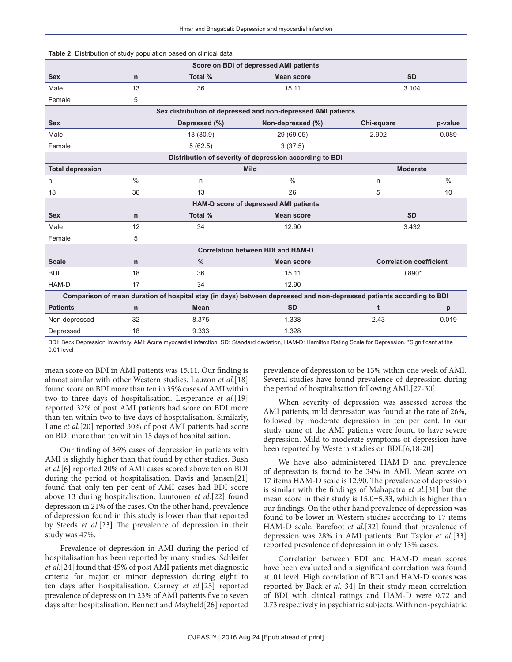|                                                                                                                                                         | <b>Table 2.</b> Distribution of study population based on climical data |                                |                   |            |                                |  |  |  |  |  |
|---------------------------------------------------------------------------------------------------------------------------------------------------------|-------------------------------------------------------------------------|--------------------------------|-------------------|------------|--------------------------------|--|--|--|--|--|
| Score on BDI of depressed AMI patients                                                                                                                  |                                                                         |                                |                   |            |                                |  |  |  |  |  |
| <b>Sex</b>                                                                                                                                              | n                                                                       | Total %                        | <b>Mean score</b> | <b>SD</b>  |                                |  |  |  |  |  |
| Male                                                                                                                                                    | 13                                                                      | 36                             | 15.11             | 3.104      |                                |  |  |  |  |  |
| Female                                                                                                                                                  | 5                                                                       |                                |                   |            |                                |  |  |  |  |  |
| Sex distribution of depressed and non-depressed AMI patients                                                                                            |                                                                         |                                |                   |            |                                |  |  |  |  |  |
| <b>Sex</b>                                                                                                                                              |                                                                         | Depressed (%)                  | Non-depressed (%) | Chi-square | p-value                        |  |  |  |  |  |
| Male                                                                                                                                                    |                                                                         | 13 (30.9)                      | 29 (69.05)        | 2.902      | 0.089                          |  |  |  |  |  |
| Female                                                                                                                                                  |                                                                         | 5(62.5)                        | 3(37.5)           |            |                                |  |  |  |  |  |
| Distribution of severity of depression according to BDI                                                                                                 |                                                                         |                                |                   |            |                                |  |  |  |  |  |
| <b>Total depression</b>                                                                                                                                 |                                                                         | <b>Mild</b><br><b>Moderate</b> |                   |            |                                |  |  |  |  |  |
| n                                                                                                                                                       | $\frac{0}{0}$                                                           | n                              | $\frac{0}{0}$     | n          | $\frac{0}{0}$                  |  |  |  |  |  |
| 18                                                                                                                                                      | 36                                                                      | 13                             | 26                | 5          | 10                             |  |  |  |  |  |
| HAM-D score of depressed AMI patients                                                                                                                   |                                                                         |                                |                   |            |                                |  |  |  |  |  |
| <b>Sex</b>                                                                                                                                              | $\mathsf{n}$                                                            | Total %                        | <b>Mean score</b> | <b>SD</b>  |                                |  |  |  |  |  |
| Male                                                                                                                                                    | 12                                                                      | 34                             | 12.90             |            | 3.432                          |  |  |  |  |  |
| Female                                                                                                                                                  | 5                                                                       |                                |                   |            |                                |  |  |  |  |  |
| <b>Correlation between BDI and HAM-D</b>                                                                                                                |                                                                         |                                |                   |            |                                |  |  |  |  |  |
| <b>Scale</b>                                                                                                                                            | n                                                                       | $\frac{0}{0}$                  | <b>Mean score</b> |            | <b>Correlation coefficient</b> |  |  |  |  |  |
| <b>BDI</b>                                                                                                                                              | 18                                                                      | 36                             | 15.11             |            | $0.890*$                       |  |  |  |  |  |
| HAM-D                                                                                                                                                   | 17                                                                      | 34                             | 12.90             |            |                                |  |  |  |  |  |
| Comparison of mean duration of hospital stay (in days) between depressed and non-depressed patients according to BDI                                    |                                                                         |                                |                   |            |                                |  |  |  |  |  |
| <b>Patients</b>                                                                                                                                         | $\mathsf{n}$                                                            | Mean                           | <b>SD</b>         | t          | p                              |  |  |  |  |  |
| Non-depressed                                                                                                                                           | 32                                                                      | 8.375                          | 1.338             | 2.43       | 0.019                          |  |  |  |  |  |
| Depressed                                                                                                                                               | 18                                                                      | 9.333                          | 1.328             |            |                                |  |  |  |  |  |
| DDL Deek Depression Investory, AML Acute museordial informion. CD: Ctanderd doviation. UAM D: Hamilton Dating Ceolo for Depression. *Cinnificant of the |                                                                         |                                |                   |            |                                |  |  |  |  |  |

BDI: Beck Depression Inventory, AMI: Acute myocardial infarction, SD: Standard deviation, HAM-D: Hamilton Rating Scale for Depression, \*Significant at the 0.01 level

mean score on BDI in AMI patients was 15.11. Our finding is almost similar with other Western studies. Lauzon et al.[18] found score on BDI more than ten in 35% cases of AMI within two to three days of hospitalisation. Lesperance et al.[19] reported 32% of post AMI patients had score on BDI more than ten within two to five days of hospitalisation. Similarly, Lane et al.[20] reported 30% of post AMI patients had score on BDI more than ten within 15 days of hospitalisation.

**Table 2:** Distribution of study population based on clinical data

Our finding of 36% cases of depression in patients with AMI is slightly higher than that found by other studies. Bush et al.[6] reported 20% of AMI cases scored above ten on BDI during the period of hospitalisation. Davis and Jansen[21] found that only ten per cent of AMI cases had BDI score above 13 during hospitalisation. Luutonen et al.[22] found depression in 21% of the cases. On the other hand, prevalence of depression found in this study is lower than that reported by Steeds et al.[23] The prevalence of depression in their study was 47%.

Prevalence of depression in AMI during the period of hospitalisation has been reported by many studies. Schleifer et al.[24] found that 45% of post AMI patients met diagnostic criteria for major or minor depression during eight to ten days after hospitalisation. Carney et al.[25] reported prevalence of depression in 23% of AMI patients five to seven days after hospitalisation. Bennett and Mayfield[26] reported

prevalence of depression to be 13% within one week of AMI. Several studies have found prevalence of depression during the period of hospitalisation following AMI.[27-30]

When severity of depression was assessed across the AMI patients, mild depression was found at the rate of 26%, followed by moderate depression in ten per cent. In our study, none of the AMI patients were found to have severe depression. Mild to moderate symptoms of depression have been reported by Western studies on BDI.[6,18-20]

We have also administered HAM-D and prevalence of depression is found to be 34% in AMI. Mean score on 17 items HAM-D scale is 12.90. The prevalence of depression is similar with the findings of Mahapatra et al.[31] but the mean score in their study is 15.0±5.33, which is higher than our findings. On the other hand prevalence of depression was found to be lower in Western studies according to 17 items HAM-D scale. Barefoot *et al.*[32] found that prevalence of depression was 28% in AMI patients. But Taylor et al.[33] reported prevalence of depression in only 13% cases.

Correlation between BDI and HAM-D mean scores have been evaluated and a significant correlation was found at .01 level. High correlation of BDI and HAM-D scores was reported by Back et al.[34] In their study mean correlation of BDI with clinical ratings and HAM-D were 0.72 and 0.73 respectively in psychiatric subjects. With non-psychiatric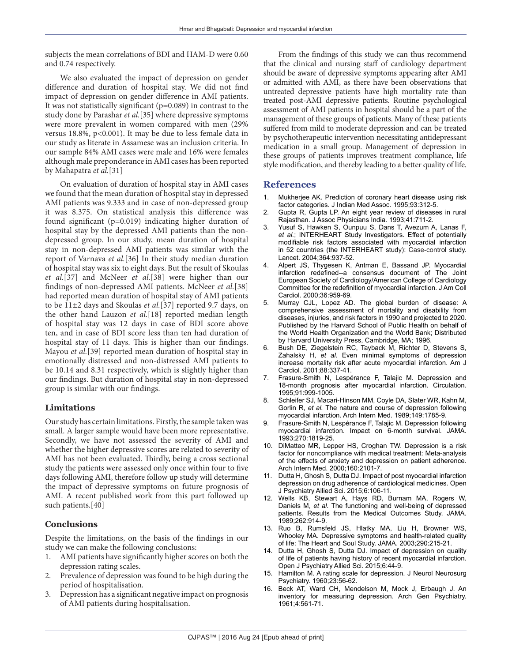subjects the mean correlations of BDI and HAM-D were 0.60 and 0.74 respectively.

We also evaluated the impact of depression on gender difference and duration of hospital stay. We did not find impact of depression on gender difference in AMI patients. It was not statistically significant ( $p=0.089$ ) in contrast to the study done by Parashar et al.[35] where depressive symptoms were more prevalent in women compared with men (29% versus 18.8%, p<0.001). It may be due to less female data in our study as literate in Assamese was an inclusion criteria. In our sample 84% AMI cases were male and 16% were females although male preponderance in AMI cases has been reported by Mahapatra et al.[31]

On evaluation of duration of hospital stay in AMI cases we found that the mean duration of hospital stay in depressed AMI patients was 9.333 and in case of non-depressed group it was 8.375. On statistical analysis this difference was found significant  $(p=0.019)$  indicating higher duration of hospital stay by the depressed AMI patients than the nondepressed group. In our study, mean duration of hospital stay in non-depressed AMI patients was similar with the report of Varnava et al.[36] In their study median duration of hospital stay was six to eight days. But the result of Skoulas et al.[37] and McNeer et al.[38] were higher than our findings of non-depressed AMI patients. McNeer et al.[38] had reported mean duration of hospital stay of AMI patients to be 11±2 days and Skoulas et al.[37] reported 9.7 days, on the other hand Lauzon et al.[18] reported median length of hospital stay was 12 days in case of BDI score above ten, and in case of BDI score less than ten had duration of hospital stay of 11 days. This is higher than our findings. Mayou et al.[39] reported mean duration of hospital stay in emotionally distressed and non-distressed AMI patients to be 10.14 and 8.31 respectively, which is slightly higher than our findings. But duration of hospital stay in non-depressed group is similar with our findings.

## **Limitations**

Our study has certain limitations. Firstly, the sample taken was small. A larger sample would have been more representative. Secondly, we have not assessed the severity of AMI and whether the higher depressive scores are related to severity of AMI has not been evaluated. Thirdly, being a cross sectional study the patients were assessed only once within four to five days following AMI, therefore follow up study will determine the impact of depressive symptoms on future prognosis of AMI. A recent published work from this part followed up such patients.[40]

## **Conclusions**

Despite the limitations, on the basis of the findings in our study we can make the following conclusions:

- 1. AMI patients have significantly higher scores on both the depression rating scales.
- 2. Prevalence of depression was found to be high during the period of hospitalisation.
- 3. Depression has a significant negative impact on prognosis of AMI patients during hospitalisation.

From the findings of this study we can thus recommend that the clinical and nursing staff of cardiology department should be aware of depressive symptoms appearing after AMI or admitted with AMI, as there have been observations that untreated depressive patients have high mortality rate than treated post-AMI depressive patients. Routine psychological assessment of AMI patients in hospital should be a part of the management of these groups of patients. Many of these patients suffered from mild to moderate depression and can be treated by psychotherapeutic intervention necessitating antidepressant medication in a small group. Management of depression in these groups of patients improves treatment compliance, life style modification, and thereby leading to a better quality of life.

# **References**

- 1. Mukherjee AK. Prediction of coronary heart disease using risk factor categories. J Indian Med Assoc. 1995;93:312-5.
- 2. Gupta R, Gupta LP. An eight year review of diseases in rural Rajasthan. J Assoc Physicians India. 1993;41:711-2.
- 3. Yusuf S, Hawken S, Ounpuu S, Dans T, Avezum A, Lanas F, *et al.*; INTERHEART Study Investigators. Effect of potentially modifiable risk factors associated with myocardial infarction in 52 countries (the INTERHEART study): Case-control study. Lancet. 2004;364:937-52.
- 4. Alpert JS, Thygesen K, Antman E, Bassand JP. Myocardial infarction redefined--a consensus document of The Joint European Society of Cardiology/American College of Cardiology Committee for the redefinition of myocardial infarction. J Am Coll Cardiol. 2000;36:959-69.
- 5. Murray CJL, Lopez AD. The global burden of disease: A comprehensive assessment of mortality and disability from diseases, injuries, and risk factors in 1990 and projected to 2020. Published by the Harvard School of Public Health on behalf of the World Health Organization and the World Bank; Distributed by Harvard University Press, Cambridge, MA; 1996.
- 6. Bush DE, Ziegelstein RC, Tayback M, Richter D, Stevens S, Zahalsky H, *et al.* Even minimal symptoms of depression increase mortality risk after acute myocardial infarction. Am J Cardiol. 2001;88:337-41.
- 7. Frasure-Smith N, Lespérance F, Talajic M. Depression and 18-month prognosis after myocardial infarction. Circulation. 1995;91:999-1005.
- 8. Schleifer SJ, Macari-Hinson MM, Coyle DA, Slater WR, Kahn M, Gorlin R, *et al.* The nature and course of depression following myocardial infarction. Arch Intern Med. 1989;149:1785-9.
- 9. Frasure-Smith N, Lespérance F, Talajic M. Depression following myocardial infarction. Impact on 6-month survival. JAMA. 1993;270:1819-25.
- 10. DiMatteo MR, Lepper HS, Croghan TW. Depression is a risk factor for noncompliance with medical treatment: Meta-analysis of the effects of anxiety and depression on patient adherence. Arch Intern Med. 2000;160:2101-7.
- 11. Dutta H, Ghosh S, Dutta DJ. Impact of post myocardial infarction depression on drug adherence of cardiological medicines. Open J Psychiatry Allied Sci. 2015;6:106-11.
- 12. Wells KB, Stewart A, Hays RD, Burnam MA, Rogers W, Daniels M, *et al.* The functioning and well-being of depressed patients. Results from the Medical Outcomes Study. JAMA. 1989;262:914-9.
- 13. Ruo B, Rumsfeld JS, Hlatky MA, Liu H, Browner WS, Whooley MA. Depressive symptoms and health-related quality of life: The Heart and Soul Study. JAMA. 2003;290:215-21.
- 14. Dutta H, Ghosh S, Dutta DJ. Impact of depression on quality of life of patients having history of recent myocardial infarction. Open J Psychiatry Allied Sci. 2015;6:44-9.
- 15. Hamilton M. A rating scale for depression. J Neurol Neurosurg Psychiatry. 1960;23:56-62.
- 16. Beck AT, Ward CH, Mendelson M, Mock J, Erbaugh J. An inventory for measuring depression. Arch Gen Psychiatry. 1961;4:561-71.